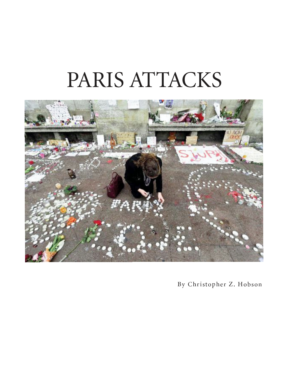## PARIS ATTACKS



- -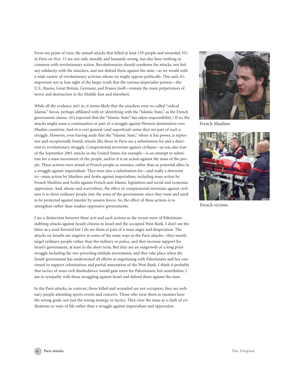From my point of view, the armed attacks that killed at least 129 people and wounded 352 in Paris on Nov. 13 are not only morally and humanly wrong, but also have nothing in common with revolutionary action. Revolutionaries should condemn the attacks, not feel any solidarity with the attackers, and not defend them against the state—as we would with a wide variety of revolutionary activists whom we might oppose politically. This said, it's important not to lose sight of the larger truth that the various imperialist powers—the U.S., Russia, Great Britain, Germany, and France itself—remain the main perpetrators of terror and destruction in the Middle East and elsewhere.

While all the evidence isn't in, it seems likely that the attackers were so-called "radical Islamic" forces, perhaps affiliated with or identifying with the "Islamic State," as the French government claims. (It's reported that the "Islamic State" has taken responsibility.) If so, the attacks might seem a continuation or part of a struggle against Western domination over Muslim countries. And in a very general (and superficial) sense they are part of such a struggle. However, even leaving aside that the "Islamic State," where it has power, is repressive and exceptionally brutal, attacks like those in Paris are a substitution for and a deterrent to revolutionary struggle. Conspiratorial terrorism against civilians—as was also true of the September 2001 attacks in the United States, for example—is an attempt to substitute for a mass movement of the people, and/or it is an action against the mass of the people. These actions were aimed at French people as enemies, rather than as potential allies in a struggle against imperialism. They were also a substitution for—and really a deterrent to—mass action by Muslims and Arabs against imperialism, including mass action by French Muslims and Arabs against French anti-Islamic legislation and social and economic oppression. And, always and everywhere, the effect of conspiratorial terrorism against civilians is to drive ordinary people into the arms of the government, since they want and need to be protected against murder by unseen forces. So, the effect of these actions is to strengthen rather than weaken oppressive governments.

I see a distinction between these acts and such actions as the recent wave of Palestinian stabbing attacks against Israeli citizens in Israel and the occupied West Bank. I don't see the latter as a road forward but I do see them as part of a mass anger and desperation. The attacks on Israelis are negative in some of the same ways as the Paris attacks—they mostly target ordinary people rather than the military or police, and they increase support for Israel's government, at least in the short term. But they are an outgrowth of a long prior struggle including the two preceding intifada movements, and they take place when the Israeli government has undermined all efforts at negotiating with Palestinians and has continued to support colonization and partial annexation of the West Bank. I think it probable that tactics of mass civil disobedience would gain more for Palestinians; but nonetheless, I am in sympathy with those struggling against Israel and defend them against the state.

In the Paris attacks, in contrast, those killed and wounded are not occupiers, they are ordinary people attending sports events and concerts. Those who treat them as enemies have the wrong goals, not just the wrong strategy or tactics. They view the issue as a clash of civilizations or ways of life rather than a struggle against imperialism and oppression.



French Muslims



French victims